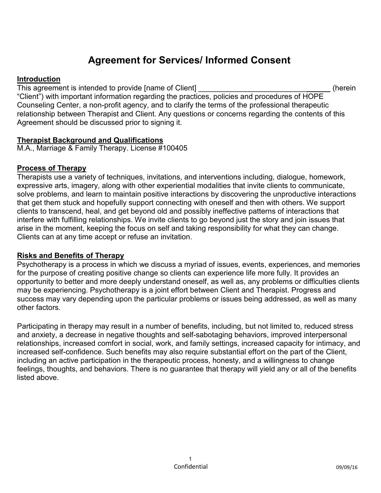# **Agreement for Services/ Informed Consent**

#### **Introduction**

This agreement is intended to provide [name of Client] This agreement is intended to provide [name of Client] "Client") with important information regarding the practices, policies and procedures of HOPE Counseling Center, a non-profit agency, and to clarify the terms of the professional therapeutic relationship between Therapist and Client. Any questions or concerns regarding the contents of this Agreement should be discussed prior to signing it.

#### **Therapist Background and Qualifications**

M.A., Marriage & Family Therapy. License #100405

## **Process of Therapy**

Therapists use a variety of techniques, invitations, and interventions including, dialogue, homework, expressive arts, imagery, along with other experiential modalities that invite clients to communicate, solve problems, and learn to maintain positive interactions by discovering the unproductive interactions that get them stuck and hopefully support connecting with oneself and then with others. We support clients to transcend, heal, and get beyond old and possibly ineffective patterns of interactions that interfere with fulfilling relationships. We invite clients to go beyond just the story and join issues that arise in the moment, keeping the focus on self and taking responsibility for what they can change. Clients can at any time accept or refuse an invitation.

## **Risks and Benefits of Therapy**

Psychotherapy is a process in which we discuss a myriad of issues, events, experiences, and memories for the purpose of creating positive change so clients can experience life more fully. It provides an opportunity to better and more deeply understand oneself, as well as, any problems or difficulties clients may be experiencing. Psychotherapy is a joint effort between Client and Therapist. Progress and success may vary depending upon the particular problems or issues being addressed, as well as many other factors.

Participating in therapy may result in a number of benefits, including, but not limited to, reduced stress and anxiety, a decrease in negative thoughts and self-sabotaging behaviors, improved interpersonal relationships, increased comfort in social, work, and family settings, increased capacity for intimacy, and increased self-confidence. Such benefits may also require substantial effort on the part of the Client, including an active participation in the therapeutic process, honesty, and a willingness to change feelings, thoughts, and behaviors. There is no guarantee that therapy will yield any or all of the benefits listed above.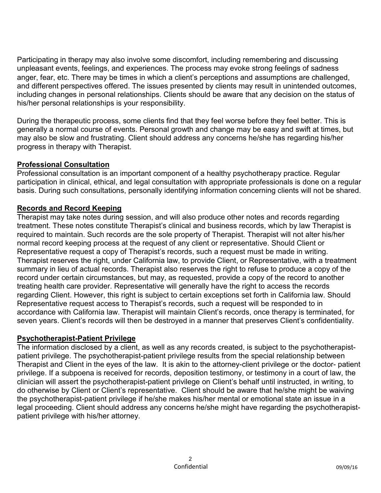Participating in therapy may also involve some discomfort, including remembering and discussing unpleasant events, feelings, and experiences. The process may evoke strong feelings of sadness anger, fear, etc. There may be times in which a client's perceptions and assumptions are challenged, and different perspectives offered. The issues presented by clients may result in unintended outcomes, including changes in personal relationships. Clients should be aware that any decision on the status of his/her personal relationships is your responsibility.

During the therapeutic process, some clients find that they feel worse before they feel better. This is generally a normal course of events. Personal growth and change may be easy and swift at times, but may also be slow and frustrating. Client should address any concerns he/she has regarding his/her progress in therapy with Therapist.

## **Professional Consultation**

Professional consultation is an important component of a healthy psychotherapy practice. Regular participation in clinical, ethical, and legal consultation with appropriate professionals is done on a regular basis. During such consultations, personally identifying information concerning clients will not be shared.

# **Records and Record Keeping**

Therapist may take notes during session, and will also produce other notes and records regarding treatment. These notes constitute Therapist's clinical and business records, which by law Therapist is required to maintain. Such records are the sole property of Therapist. Therapist will not alter his/her normal record keeping process at the request of any client or representative. Should Client or Representative request a copy of Therapist's records, such a request must be made in writing. Therapist reserves the right, under California law, to provide Client, or Representative, with a treatment summary in lieu of actual records. Therapist also reserves the right to refuse to produce a copy of the record under certain circumstances, but may, as requested, provide a copy of the record to another treating health care provider. Representative will generally have the right to access the records regarding Client. However, this right is subject to certain exceptions set forth in California law. Should Representative request access to Therapist's records, such a request will be responded to in accordance with California law. Therapist will maintain Client's records, once therapy is terminated, for seven years. Client's records will then be destroyed in a manner that preserves Client's confidentiality.

# **Psychotherapist-Patient Privilege**

The information disclosed by a client, as well as any records created, is subject to the psychotherapistpatient privilege. The psychotherapist-patient privilege results from the special relationship between Therapist and Client in the eyes of the law. It is akin to the attorney-client privilege or the doctor- patient privilege. If a subpoena is received for records, deposition testimony, or testimony in a court of law, the clinician will assert the psychotherapist-patient privilege on Client's behalf until instructed, in writing, to do otherwise by Client or Client's representative. Client should be aware that he/she might be waiving the psychotherapist-patient privilege if he/she makes his/her mental or emotional state an issue in a legal proceeding. Client should address any concerns he/she might have regarding the psychotherapistpatient privilege with his/her attorney.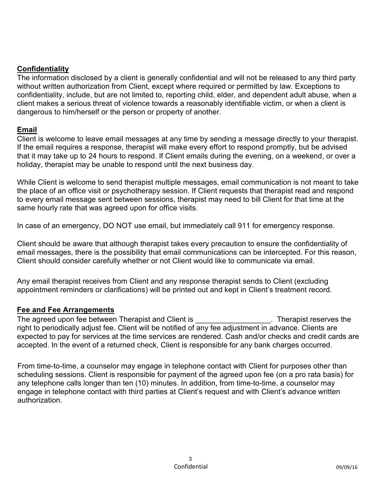## **Confidentiality**

The information disclosed by a client is generally confidential and will not be released to any third party without written authorization from Client, except where required or permitted by law. Exceptions to confidentiality, include, but are not limited to, reporting child, elder, and dependent adult abuse, when a client makes a serious threat of violence towards a reasonably identifiable victim, or when a client is dangerous to him/herself or the person or property of another.

## **Email**

Client is welcome to leave email messages at any time by sending a message directly to your therapist. If the email requires a response, therapist will make every effort to respond promptly, but be advised that it may take up to 24 hours to respond. If Client emails during the evening, on a weekend, or over a holiday, therapist may be unable to respond until the next business day.

While Client is welcome to send therapist multiple messages, email communication is not meant to take the place of an office visit or psychotherapy session. If Client requests that therapist read and respond to every email message sent between sessions, therapist may need to bill Client for that time at the same hourly rate that was agreed upon for office visits.

In case of an emergency, DO NOT use email, but immediately call 911 for emergency response.

Client should be aware that although therapist takes every precaution to ensure the confidentiality of email messages, there is the possibility that email communications can be intercepted. For this reason, Client should consider carefully whether or not Client would like to communicate via email.

Any email therapist receives from Client and any response therapist sends to Client (excluding appointment reminders or clarifications) will be printed out and kept in Client's treatment record.

# **Fee and Fee Arrangements**

The agreed upon fee between Therapist and Client is \_\_\_\_\_\_\_\_\_\_\_\_\_\_\_\_\_\_. Therapist reserves the right to periodically adjust fee. Client will be notified of any fee adjustment in advance. Clients are expected to pay for services at the time services are rendered. Cash and/or checks and credit cards are accepted. In the event of a returned check, Client is responsible for any bank charges occurred.

From time-to-time, a counselor may engage in telephone contact with Client for purposes other than scheduling sessions. Client is responsible for payment of the agreed upon fee (on a pro rata basis) for any telephone calls longer than ten (10) minutes. In addition, from time-to-time, a counselor may engage in telephone contact with third parties at Client's request and with Client's advance written authorization.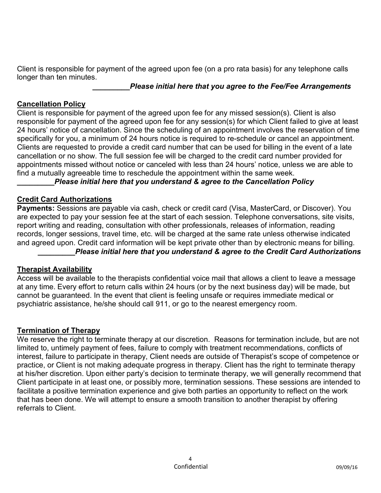Client is responsible for payment of the agreed upon fee (on a pro rata basis) for any telephone calls longer than ten minutes.

#### *\_\_\_\_\_\_\_\_\_Please initial here that you agree to the Fee/Fee Arrangements*

## **Cancellation Policy**

Client is responsible for payment of the agreed upon fee for any missed session(s). Client is also responsible for payment of the agreed upon fee for any session(s) for which Client failed to give at least 24 hours' notice of cancellation. Since the scheduling of an appointment involves the reservation of time specifically for you, a minimum of 24 hours notice is required to re-schedule or cancel an appointment. Clients are requested to provide a credit card number that can be used for billing in the event of a late cancellation or no show. The full session fee will be charged to the credit card number provided for appointments missed without notice or canceled with less than 24 hours' notice, unless we are able to find a mutually agreeable time to reschedule the appointment within the same week.

## *\_\_\_\_\_\_\_\_\_Please initial here that you understand & agree to the Cancellation Policy*

## **Credit Card Authorizations**

**Payments:** Sessions are payable via cash, check or credit card (Visa, MasterCard, or Discover). You are expected to pay your session fee at the start of each session. Telephone conversations, site visits, report writing and reading, consultation with other professionals, releases of information, reading records, longer sessions, travel time, etc. will be charged at the same rate unless otherwise indicated and agreed upon. Credit card information will be kept private other than by electronic means for billing. *Please initial here that you understand & agree to the Credit Card Authorizations* 

# **Therapist Availability**

Access will be available to the therapists confidential voice mail that allows a client to leave a message at any time. Every effort to return calls within 24 hours (or by the next business day) will be made, but cannot be guaranteed. In the event that client is feeling unsafe or requires immediate medical or psychiatric assistance, he/she should call 911, or go to the nearest emergency room.

# **Termination of Therapy**

We reserve the right to terminate therapy at our discretion. Reasons for termination include, but are not limited to, untimely payment of fees, failure to comply with treatment recommendations, conflicts of interest, failure to participate in therapy, Client needs are outside of Therapist's scope of competence or practice, or Client is not making adequate progress in therapy. Client has the right to terminate therapy at his/her discretion. Upon either party's decision to terminate therapy, we will generally recommend that Client participate in at least one, or possibly more, termination sessions. These sessions are intended to facilitate a positive termination experience and give both parties an opportunity to reflect on the work that has been done. We will attempt to ensure a smooth transition to another therapist by offering referrals to Client.